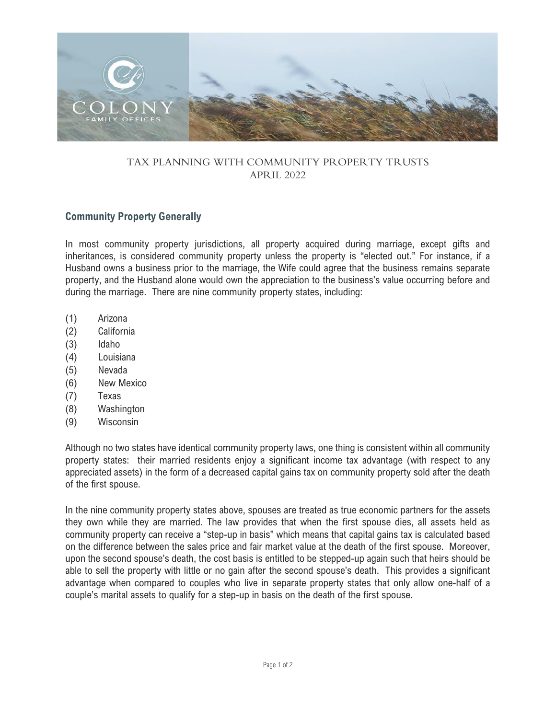

## TAX PLANNING WITH COMMUNITY PROPERTY TRUSTS APRIL 2022

## **Community Property Generally**

In most community property jurisdictions, all property acquired during marriage, except gifts and inheritances, is considered community property unless the property is "elected out." For instance, if a Husband owns a business prior to the marriage, the Wife could agree that the business remains separate property, and the Husband alone would own the appreciation to the business's value occurring before and during the marriage. There are nine community property states, including:

- (1) Arizona
- (2) California
- (3) Idaho
- (4) Louisiana
- (5) Nevada
- (6) New Mexico
- (7) Texas
- (8) Washington
- (9) Wisconsin

Although no two states have identical community property laws, one thing is consistent within all community property states: their married residents enjoy a significant income tax advantage (with respect to any appreciated assets) in the form of a decreased capital gains tax on community property sold after the death of the first spouse.

In the nine community property states above, spouses are treated as true economic partners for the assets they own while they are married. The law provides that when the first spouse dies, all assets held as community property can receive a "step-up in basis" which means that capital gains tax is calculated based on the difference between the sales price and fair market value at the death of the first spouse. Moreover, upon the second spouse's death, the cost basis is entitled to be stepped-up again such that heirs should be able to sell the property with little or no gain after the second spouse's death. This provides a significant advantage when compared to couples who live in separate property states that only allow one-half of a couple's marital assets to qualify for a step-up in basis on the death of the first spouse.